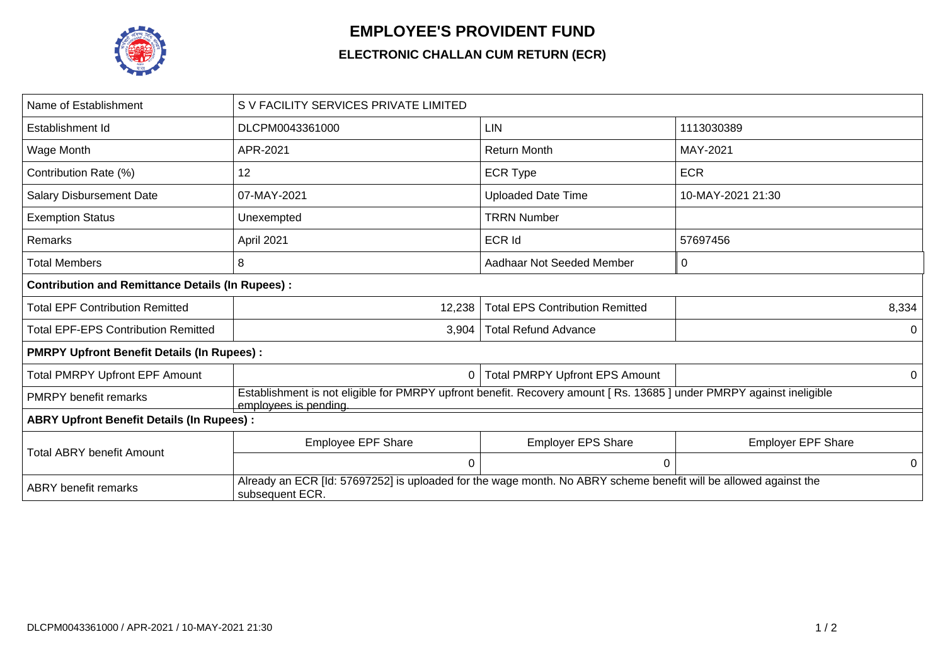

## **EMPLOYEE'S PROVIDENT FUND**

## **ELECTRONIC CHALLAN CUM RETURN (ECR)**

| Name of Establishment                                   | S V FACILITY SERVICES PRIVATE LIMITED                                                                                                        |                                        |                           |  |  |  |  |
|---------------------------------------------------------|----------------------------------------------------------------------------------------------------------------------------------------------|----------------------------------------|---------------------------|--|--|--|--|
| Establishment Id                                        | DLCPM0043361000                                                                                                                              | <b>LIN</b>                             | 1113030389                |  |  |  |  |
| Wage Month                                              | APR-2021                                                                                                                                     | <b>Return Month</b>                    | MAY-2021                  |  |  |  |  |
| Contribution Rate (%)                                   | 12                                                                                                                                           | <b>ECR Type</b>                        | <b>ECR</b>                |  |  |  |  |
| <b>Salary Disbursement Date</b>                         | 07-MAY-2021                                                                                                                                  | <b>Uploaded Date Time</b>              | 10-MAY-2021 21:30         |  |  |  |  |
| <b>Exemption Status</b>                                 | Unexempted                                                                                                                                   | <b>TRRN Number</b>                     |                           |  |  |  |  |
| Remarks                                                 | April 2021                                                                                                                                   | <b>ECR Id</b>                          | 57697456                  |  |  |  |  |
| Total Members                                           | 8                                                                                                                                            | Aadhaar Not Seeded Member              | 0                         |  |  |  |  |
| <b>Contribution and Remittance Details (In Rupees):</b> |                                                                                                                                              |                                        |                           |  |  |  |  |
| <b>Total EPF Contribution Remitted</b>                  | 12,238                                                                                                                                       | <b>Total EPS Contribution Remitted</b> | 8,334                     |  |  |  |  |
| <b>Total EPF-EPS Contribution Remitted</b>              | 3,904                                                                                                                                        | <b>Total Refund Advance</b>            |                           |  |  |  |  |
| <b>PMRPY Upfront Benefit Details (In Rupees):</b>       |                                                                                                                                              |                                        |                           |  |  |  |  |
| <b>Total PMRPY Upfront EPF Amount</b>                   | 0                                                                                                                                            | <b>Total PMRPY Upfront EPS Amount</b>  | 0                         |  |  |  |  |
| <b>PMRPY</b> benefit remarks                            | Establishment is not eligible for PMRPY upfront benefit. Recovery amount [Rs. 13685] under PMRPY against ineligible<br>employees is pending. |                                        |                           |  |  |  |  |
| <b>ABRY Upfront Benefit Details (In Rupees):</b>        |                                                                                                                                              |                                        |                           |  |  |  |  |
| Total ABRY benefit Amount                               | <b>Employee EPF Share</b>                                                                                                                    | <b>Employer EPS Share</b>              | <b>Employer EPF Share</b> |  |  |  |  |
|                                                         | $\Omega$                                                                                                                                     | $\Omega$                               | 0                         |  |  |  |  |
| <b>ABRY</b> benefit remarks                             | Already an ECR [Id: 57697252] is uploaded for the wage month. No ABRY scheme benefit will be allowed against the<br>subsequent ECR.          |                                        |                           |  |  |  |  |